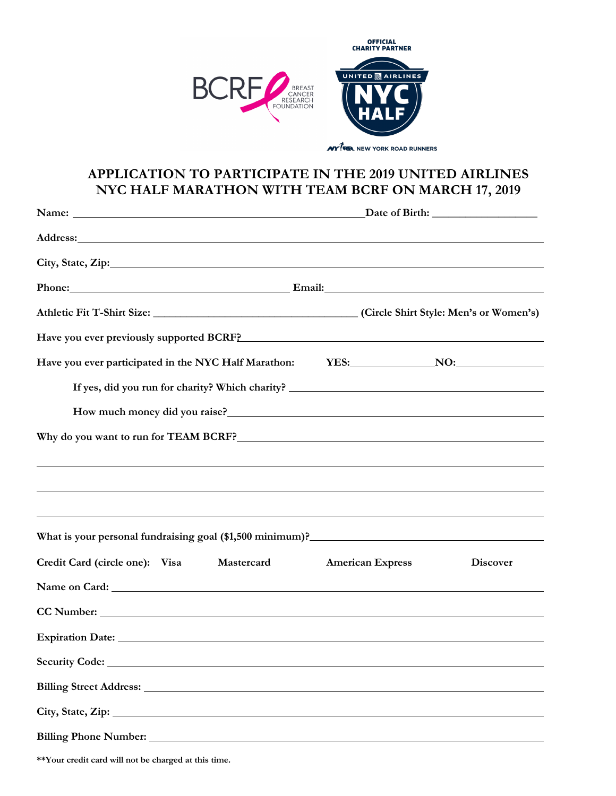

## **APPLICATION TO PARTICIPATE IN THE 2019 UNITED AIRLINES NYC HALF MARATHON WITH TEAM BCRF ON MARCH 17, 2019**

| Phone: Email: Email:                                                                                                                                                                                                                   |                         |                 |
|----------------------------------------------------------------------------------------------------------------------------------------------------------------------------------------------------------------------------------------|-------------------------|-----------------|
|                                                                                                                                                                                                                                        |                         |                 |
| Have you ever previously supported BCRF? Manual According to the set of the set of the set of the set of the set of the set of the set of the set of the set of the set of the set of the set of the set of the set of the set         |                         |                 |
| Have you ever participated in the NYC Half Marathon: YES: NO: NO:                                                                                                                                                                      |                         |                 |
| If yes, did you run for charity? Which charity? _________________________________                                                                                                                                                      |                         |                 |
| How much money did you raise?<br><u>Letter and the contract of the set of the set of the set of the set of the set of the set of the set of the set of the set of the set of the set of the set of the set of the set of the set o</u> |                         |                 |
|                                                                                                                                                                                                                                        |                         |                 |
| ,我们也不会有什么。""我们的人,我们也不会有什么?""我们的人,我们也不会有什么?""我们的人,我们也不会有什么?""我们的人,我们也不会有什么?""我们的人                                                                                                                                                       |                         |                 |
| ,我们也不会有什么。""我们的人,我们也不会有什么?""我们的人,我们也不会有什么?""我们的人,我们也不会有什么?""我们的人,我们也不会有什么?""我们的人                                                                                                                                                       |                         |                 |
| ,我们也不会有什么。""我们的人,我们也不会有什么?""我们的人,我们也不会有什么?""我们的人,我们也不会有什么?""我们的人,我们也不会有什么?""我们的人                                                                                                                                                       |                         |                 |
| What is your personal fundraising goal (\$1,500 minimum)?<br><u>University</u> materials and the set of the set of the set of the set of the set of the set of the set of the set of the set of the set of the set of the set of the s |                         |                 |
| Credit Card (circle one): Visa<br>Mastercard                                                                                                                                                                                           | <b>American Express</b> | <b>Discover</b> |
|                                                                                                                                                                                                                                        |                         |                 |
|                                                                                                                                                                                                                                        |                         |                 |
| Expiration Date: No. 2014 19:30 No. 2014 19:30 No. 2014 19:30 No. 2014 19:30 No. 2014 19:30 No. 2014 19:30 No. 2014 19:30 No. 2014 19:30 No. 2014 19:30 No. 2014 19:30 No. 2014 19:30 No. 2014 19:30 No. 2014 19:30 No. 2014 1         |                         |                 |
|                                                                                                                                                                                                                                        |                         |                 |
|                                                                                                                                                                                                                                        |                         |                 |
| City, State, Zip: 2008. Experience of the State of Table 2014.                                                                                                                                                                         |                         |                 |
|                                                                                                                                                                                                                                        |                         |                 |

**\*\*Your credit card will not be charged at this time.**